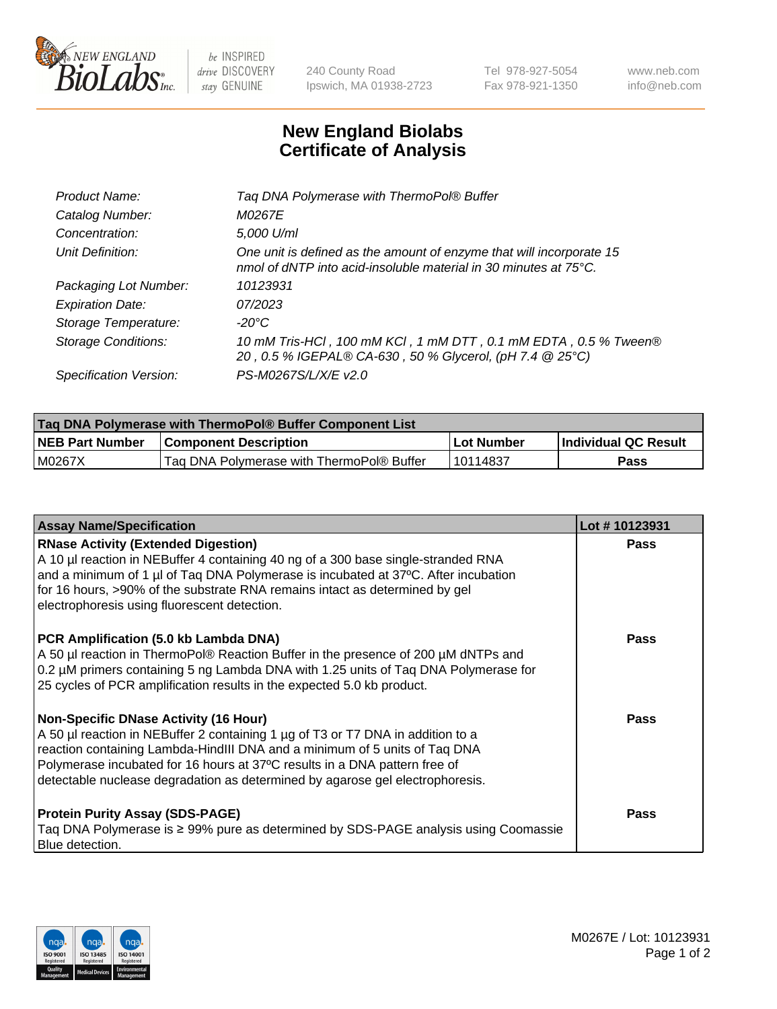

 $be$  INSPIRED drive DISCOVERY stay GENUINE

240 County Road Ipswich, MA 01938-2723 Tel 978-927-5054 Fax 978-921-1350 www.neb.com info@neb.com

## **New England Biolabs Certificate of Analysis**

| Tag DNA Polymerase with ThermoPol® Buffer                                                                                                |
|------------------------------------------------------------------------------------------------------------------------------------------|
| M0267E                                                                                                                                   |
| 5,000 U/ml                                                                                                                               |
| One unit is defined as the amount of enzyme that will incorporate 15<br>nmol of dNTP into acid-insoluble material in 30 minutes at 75°C. |
| 10123931                                                                                                                                 |
| 07/2023                                                                                                                                  |
| $-20^{\circ}$ C                                                                                                                          |
| 10 mM Tris-HCl, 100 mM KCl, 1 mM DTT, 0.1 mM EDTA, 0.5 % Tween®<br>20, 0.5 % IGEPAL® CA-630, 50 % Glycerol, (pH 7.4 @ 25°C)              |
| PS-M0267S/L/X/E v2.0                                                                                                                     |
|                                                                                                                                          |

| <b>Tag DNA Polymerase with ThermoPol® Buffer Component List</b> |                                           |            |                      |  |  |
|-----------------------------------------------------------------|-------------------------------------------|------------|----------------------|--|--|
| <b>NEB Part Number</b>                                          | <b>Component Description</b>              | Lot Number | Individual QC Result |  |  |
| M0267X                                                          | Tag DNA Polymerase with ThermoPol® Buffer | 10114837   | Pass                 |  |  |

| <b>Assay Name/Specification</b>                                                                                                                                                                                                                                                                                                                                              | Lot #10123931 |
|------------------------------------------------------------------------------------------------------------------------------------------------------------------------------------------------------------------------------------------------------------------------------------------------------------------------------------------------------------------------------|---------------|
| <b>RNase Activity (Extended Digestion)</b><br>A 10 µl reaction in NEBuffer 4 containing 40 ng of a 300 base single-stranded RNA<br>and a minimum of 1 µl of Taq DNA Polymerase is incubated at 37°C. After incubation<br>for 16 hours, >90% of the substrate RNA remains intact as determined by gel<br>electrophoresis using fluorescent detection.                         | <b>Pass</b>   |
| PCR Amplification (5.0 kb Lambda DNA)<br>A 50 µl reaction in ThermoPol® Reaction Buffer in the presence of 200 µM dNTPs and<br>0.2 µM primers containing 5 ng Lambda DNA with 1.25 units of Taq DNA Polymerase for<br>25 cycles of PCR amplification results in the expected 5.0 kb product.                                                                                 | <b>Pass</b>   |
| <b>Non-Specific DNase Activity (16 Hour)</b><br>A 50 µl reaction in NEBuffer 2 containing 1 µg of T3 or T7 DNA in addition to a<br>reaction containing Lambda-HindIII DNA and a minimum of 5 units of Taq DNA<br>Polymerase incubated for 16 hours at 37°C results in a DNA pattern free of<br>detectable nuclease degradation as determined by agarose gel electrophoresis. | <b>Pass</b>   |
| <b>Protein Purity Assay (SDS-PAGE)</b><br>Taq DNA Polymerase is ≥ 99% pure as determined by SDS-PAGE analysis using Coomassie<br>Blue detection.                                                                                                                                                                                                                             | <b>Pass</b>   |